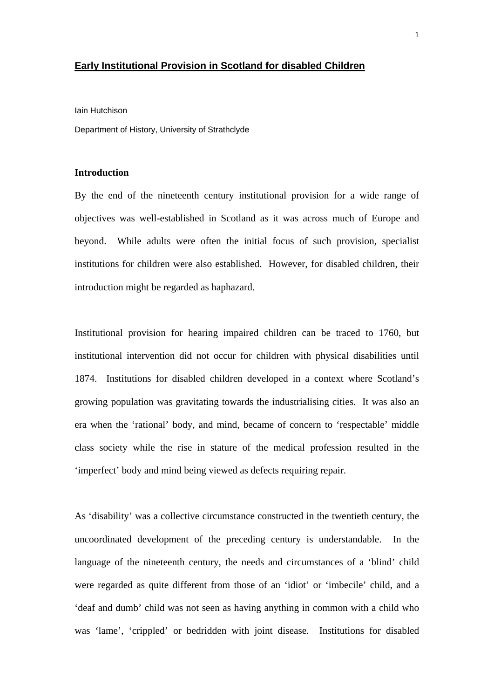### **Early Institutional Provision in Scotland for disabled Children**

Iain Hutchison

Department of History, University of Strathclyde

# **Introduction**

By the end of the nineteenth century institutional provision for a wide range of objectives was well-established in Scotland as it was across much of Europe and beyond. While adults were often the initial focus of such provision, specialist institutions for children were also established. However, for disabled children, their introduction might be regarded as haphazard.

Institutional provision for hearing impaired children can be traced to 1760, but institutional intervention did not occur for children with physical disabilities until 1874. Institutions for disabled children developed in a context where Scotland's growing population was gravitating towards the industrialising cities. It was also an era when the 'rational' body, and mind, became of concern to 'respectable' middle class society while the rise in stature of the medical profession resulted in the 'imperfect' body and mind being viewed as defects requiring repair.

As 'disability' was a collective circumstance constructed in the twentieth century, the uncoordinated development of the preceding century is understandable. In the language of the nineteenth century, the needs and circumstances of a 'blind' child were regarded as quite different from those of an 'idiot' or 'imbecile' child, and a 'deaf and dumb' child was not seen as having anything in common with a child who was 'lame', 'crippled' or bedridden with joint disease. Institutions for disabled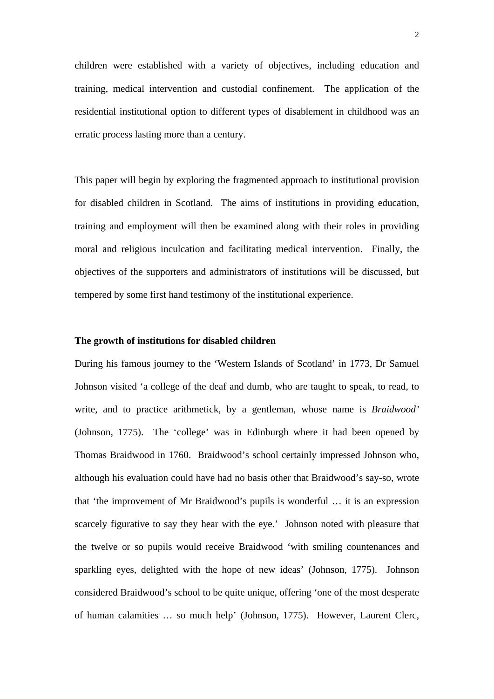children were established with a variety of objectives, including education and training, medical intervention and custodial confinement. The application of the residential institutional option to different types of disablement in childhood was an erratic process lasting more than a century.

This paper will begin by exploring the fragmented approach to institutional provision for disabled children in Scotland. The aims of institutions in providing education, training and employment will then be examined along with their roles in providing moral and religious inculcation and facilitating medical intervention. Finally, the objectives of the supporters and administrators of institutions will be discussed, but tempered by some first hand testimony of the institutional experience.

# **The growth of institutions for disabled children**

During his famous journey to the 'Western Islands of Scotland' in 1773, Dr Samuel Johnson visited 'a college of the deaf and dumb, who are taught to speak, to read, to write, and to practice arithmetick, by a gentleman, whose name is *Braidwood'*  (Johnson, 1775). The 'college' was in Edinburgh where it had been opened by Thomas Braidwood in 1760. Braidwood's school certainly impressed Johnson who, although his evaluation could have had no basis other that Braidwood's say-so, wrote that 'the improvement of Mr Braidwood's pupils is wonderful … it is an expression scarcely figurative to say they hear with the eye.' Johnson noted with pleasure that the twelve or so pupils would receive Braidwood 'with smiling countenances and sparkling eyes, delighted with the hope of new ideas' (Johnson, 1775). Johnson considered Braidwood's school to be quite unique, offering 'one of the most desperate of human calamities … so much help' (Johnson, 1775). However, Laurent Clerc,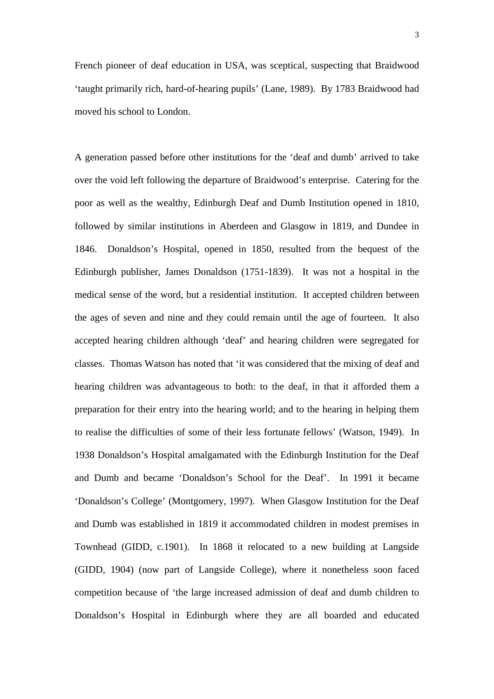French pioneer of deaf education in USA, was sceptical, suspecting that Braidwood 'taught primarily rich, hard-of-hearing pupils' (Lane, 1989). By 1783 Braidwood had moved his school to London.

A generation passed before other institutions for the 'deaf and dumb' arrived to take over the void left following the departure of Braidwood's enterprise. Catering for the poor as well as the wealthy, Edinburgh Deaf and Dumb Institution opened in 1810, followed by similar institutions in Aberdeen and Glasgow in 1819, and Dundee in 1846. Donaldson's Hospital, opened in 1850, resulted from the bequest of the Edinburgh publisher, James Donaldson (1751-1839). It was not a hospital in the medical sense of the word, but a residential institution. It accepted children between the ages of seven and nine and they could remain until the age of fourteen. It also accepted hearing children although 'deaf' and hearing children were segregated for classes. Thomas Watson has noted that 'it was considered that the mixing of deaf and hearing children was advantageous to both: to the deaf, in that it afforded them a preparation for their entry into the hearing world; and to the hearing in helping them to realise the difficulties of some of their less fortunate fellows' (Watson, 1949). In 1938 Donaldson's Hospital amalgamated with the Edinburgh Institution for the Deaf and Dumb and became 'Donaldson's School for the Deaf'. In 1991 it became 'Donaldson's College' (Montgomery, 1997). When Glasgow Institution for the Deaf and Dumb was established in 1819 it accommodated children in modest premises in Townhead (GIDD, c.1901). In 1868 it relocated to a new building at Langside (GIDD, 1904) (now part of Langside College), where it nonetheless soon faced competition because of 'the large increased admission of deaf and dumb children to Donaldson's Hospital in Edinburgh where they are all boarded and educated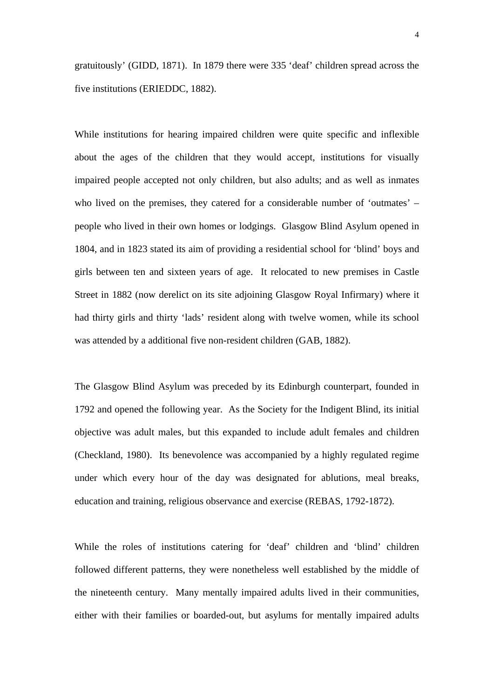gratuitously' (GIDD, 1871). In 1879 there were 335 'deaf' children spread across the five institutions (ERIEDDC, 1882).

While institutions for hearing impaired children were quite specific and inflexible about the ages of the children that they would accept, institutions for visually impaired people accepted not only children, but also adults; and as well as inmates who lived on the premises, they catered for a considerable number of 'outmates' – people who lived in their own homes or lodgings. Glasgow Blind Asylum opened in 1804, and in 1823 stated its aim of providing a residential school for 'blind' boys and girls between ten and sixteen years of age. It relocated to new premises in Castle Street in 1882 (now derelict on its site adjoining Glasgow Royal Infirmary) where it had thirty girls and thirty 'lads' resident along with twelve women, while its school was attended by a additional five non-resident children (GAB, 1882).

The Glasgow Blind Asylum was preceded by its Edinburgh counterpart, founded in 1792 and opened the following year. As the Society for the Indigent Blind, its initial objective was adult males, but this expanded to include adult females and children (Checkland, 1980). Its benevolence was accompanied by a highly regulated regime under which every hour of the day was designated for ablutions, meal breaks, education and training, religious observance and exercise (REBAS, 1792-1872).

While the roles of institutions catering for 'deaf' children and 'blind' children followed different patterns, they were nonetheless well established by the middle of the nineteenth century. Many mentally impaired adults lived in their communities, either with their families or boarded-out, but asylums for mentally impaired adults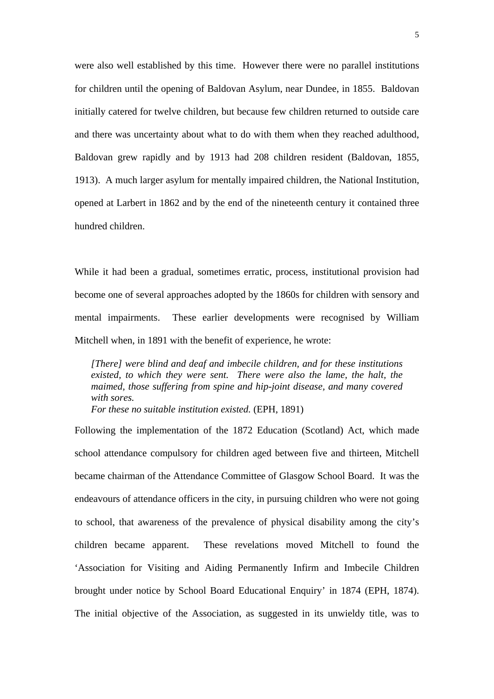were also well established by this time. However there were no parallel institutions for children until the opening of Baldovan Asylum, near Dundee, in 1855. Baldovan initially catered for twelve children, but because few children returned to outside care and there was uncertainty about what to do with them when they reached adulthood, Baldovan grew rapidly and by 1913 had 208 children resident (Baldovan, 1855, 1913). A much larger asylum for mentally impaired children, the National Institution, opened at Larbert in 1862 and by the end of the nineteenth century it contained three hundred children.

While it had been a gradual, sometimes erratic, process, institutional provision had become one of several approaches adopted by the 1860s for children with sensory and mental impairments. These earlier developments were recognised by William Mitchell when, in 1891 with the benefit of experience, he wrote:

*[There] were blind and deaf and imbecile children, and for these institutions existed, to which they were sent. There were also the lame, the halt, the maimed, those suffering from spine and hip-joint disease, and many covered with sores. For these no suitable institution existed.* (EPH, 1891)

Following the implementation of the 1872 Education (Scotland) Act, which made school attendance compulsory for children aged between five and thirteen, Mitchell became chairman of the Attendance Committee of Glasgow School Board. It was the endeavours of attendance officers in the city, in pursuing children who were not going to school, that awareness of the prevalence of physical disability among the city's children became apparent. These revelations moved Mitchell to found the 'Association for Visiting and Aiding Permanently Infirm and Imbecile Children brought under notice by School Board Educational Enquiry' in 1874 (EPH, 1874). The initial objective of the Association, as suggested in its unwieldy title, was to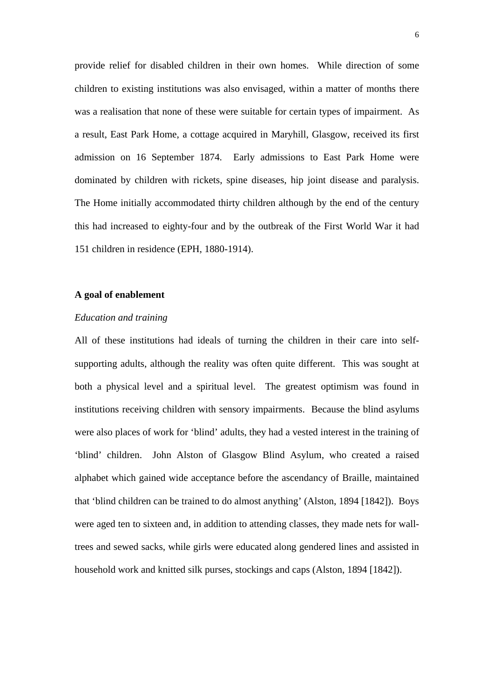provide relief for disabled children in their own homes. While direction of some children to existing institutions was also envisaged, within a matter of months there was a realisation that none of these were suitable for certain types of impairment. As a result, East Park Home, a cottage acquired in Maryhill, Glasgow, received its first admission on 16 September 1874. Early admissions to East Park Home were dominated by children with rickets, spine diseases, hip joint disease and paralysis. The Home initially accommodated thirty children although by the end of the century this had increased to eighty-four and by the outbreak of the First World War it had 151 children in residence (EPH, 1880-1914).

# **A goal of enablement**

### *Education and training*

All of these institutions had ideals of turning the children in their care into selfsupporting adults, although the reality was often quite different. This was sought at both a physical level and a spiritual level. The greatest optimism was found in institutions receiving children with sensory impairments. Because the blind asylums were also places of work for 'blind' adults, they had a vested interest in the training of 'blind' children. John Alston of Glasgow Blind Asylum, who created a raised alphabet which gained wide acceptance before the ascendancy of Braille, maintained that 'blind children can be trained to do almost anything' (Alston, 1894 [1842]). Boys were aged ten to sixteen and, in addition to attending classes, they made nets for walltrees and sewed sacks, while girls were educated along gendered lines and assisted in household work and knitted silk purses, stockings and caps (Alston, 1894 [1842]).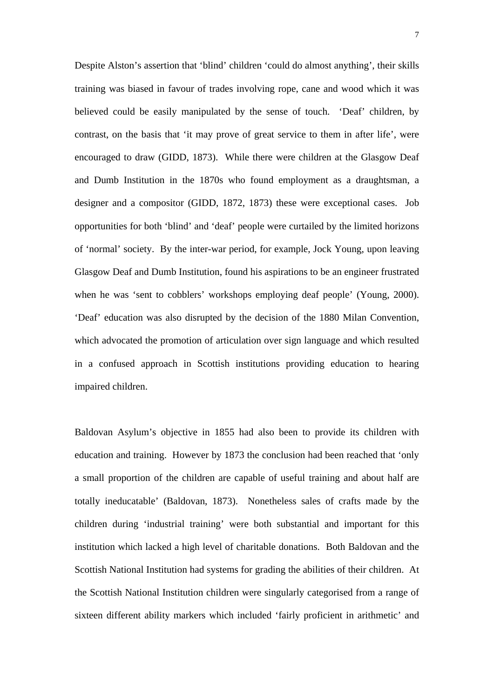Despite Alston's assertion that 'blind' children 'could do almost anything', their skills training was biased in favour of trades involving rope, cane and wood which it was believed could be easily manipulated by the sense of touch. 'Deaf' children, by contrast, on the basis that 'it may prove of great service to them in after life', were encouraged to draw (GIDD, 1873). While there were children at the Glasgow Deaf and Dumb Institution in the 1870s who found employment as a draughtsman, a designer and a compositor (GIDD, 1872, 1873) these were exceptional cases. Job opportunities for both 'blind' and 'deaf' people were curtailed by the limited horizons of 'normal' society. By the inter-war period, for example, Jock Young, upon leaving Glasgow Deaf and Dumb Institution, found his aspirations to be an engineer frustrated when he was 'sent to cobblers' workshops employing deaf people' (Young, 2000). 'Deaf' education was also disrupted by the decision of the 1880 Milan Convention, which advocated the promotion of articulation over sign language and which resulted in a confused approach in Scottish institutions providing education to hearing impaired children.

Baldovan Asylum's objective in 1855 had also been to provide its children with education and training. However by 1873 the conclusion had been reached that 'only a small proportion of the children are capable of useful training and about half are totally ineducatable' (Baldovan, 1873). Nonetheless sales of crafts made by the children during 'industrial training' were both substantial and important for this institution which lacked a high level of charitable donations. Both Baldovan and the Scottish National Institution had systems for grading the abilities of their children. At the Scottish National Institution children were singularly categorised from a range of sixteen different ability markers which included 'fairly proficient in arithmetic' and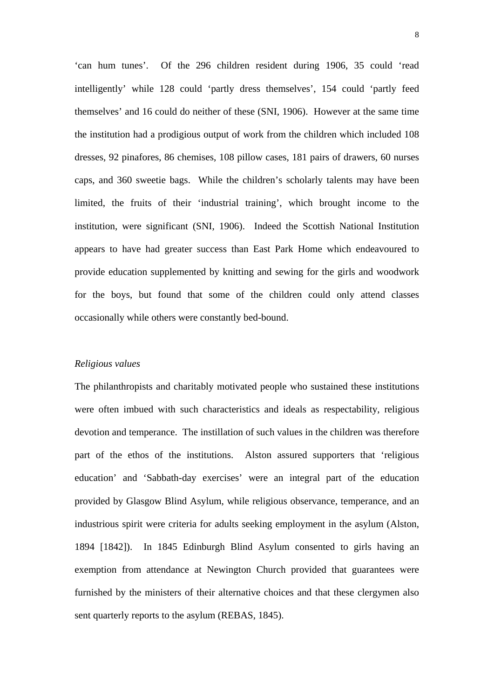'can hum tunes'. Of the 296 children resident during 1906, 35 could 'read intelligently' while 128 could 'partly dress themselves', 154 could 'partly feed themselves' and 16 could do neither of these (SNI, 1906). However at the same time the institution had a prodigious output of work from the children which included 108 dresses, 92 pinafores, 86 chemises, 108 pillow cases, 181 pairs of drawers, 60 nurses caps, and 360 sweetie bags. While the children's scholarly talents may have been limited, the fruits of their 'industrial training', which brought income to the institution, were significant (SNI, 1906). Indeed the Scottish National Institution appears to have had greater success than East Park Home which endeavoured to provide education supplemented by knitting and sewing for the girls and woodwork for the boys, but found that some of the children could only attend classes occasionally while others were constantly bed-bound.

#### *Religious values*

The philanthropists and charitably motivated people who sustained these institutions were often imbued with such characteristics and ideals as respectability, religious devotion and temperance. The instillation of such values in the children was therefore part of the ethos of the institutions. Alston assured supporters that 'religious education' and 'Sabbath-day exercises' were an integral part of the education provided by Glasgow Blind Asylum, while religious observance, temperance, and an industrious spirit were criteria for adults seeking employment in the asylum (Alston, 1894 [1842]). In 1845 Edinburgh Blind Asylum consented to girls having an exemption from attendance at Newington Church provided that guarantees were furnished by the ministers of their alternative choices and that these clergymen also sent quarterly reports to the asylum (REBAS, 1845).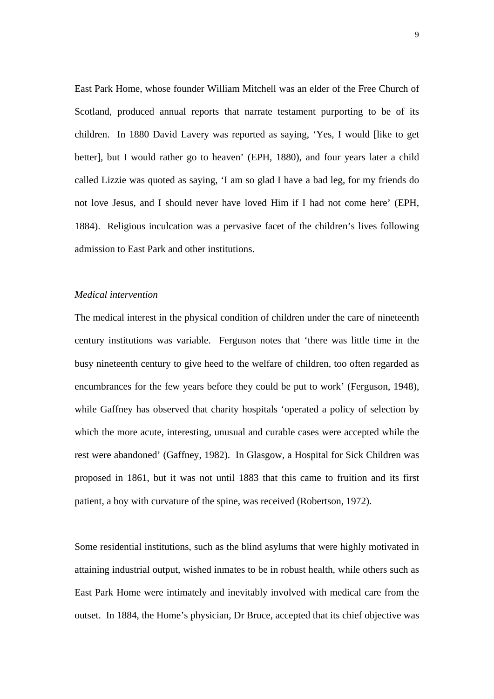East Park Home, whose founder William Mitchell was an elder of the Free Church of Scotland, produced annual reports that narrate testament purporting to be of its children. In 1880 David Lavery was reported as saying, 'Yes, I would [like to get better], but I would rather go to heaven' (EPH, 1880), and four years later a child called Lizzie was quoted as saying, 'I am so glad I have a bad leg, for my friends do not love Jesus, and I should never have loved Him if I had not come here' (EPH, 1884). Religious inculcation was a pervasive facet of the children's lives following admission to East Park and other institutions.

# *Medical intervention*

The medical interest in the physical condition of children under the care of nineteenth century institutions was variable. Ferguson notes that 'there was little time in the busy nineteenth century to give heed to the welfare of children, too often regarded as encumbrances for the few years before they could be put to work' (Ferguson, 1948), while Gaffney has observed that charity hospitals 'operated a policy of selection by which the more acute, interesting, unusual and curable cases were accepted while the rest were abandoned' (Gaffney, 1982). In Glasgow, a Hospital for Sick Children was proposed in 1861, but it was not until 1883 that this came to fruition and its first patient, a boy with curvature of the spine, was received (Robertson, 1972).

Some residential institutions, such as the blind asylums that were highly motivated in attaining industrial output, wished inmates to be in robust health, while others such as East Park Home were intimately and inevitably involved with medical care from the outset. In 1884, the Home's physician, Dr Bruce, accepted that its chief objective was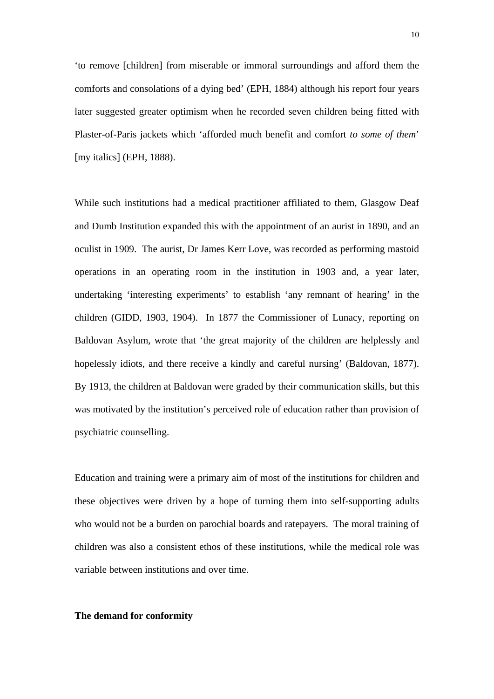'to remove [children] from miserable or immoral surroundings and afford them the comforts and consolations of a dying bed' (EPH, 1884) although his report four years later suggested greater optimism when he recorded seven children being fitted with Plaster-of-Paris jackets which 'afforded much benefit and comfort *to some of them*' [my italics] (EPH, 1888).

While such institutions had a medical practitioner affiliated to them, Glasgow Deaf and Dumb Institution expanded this with the appointment of an aurist in 1890, and an oculist in 1909. The aurist, Dr James Kerr Love, was recorded as performing mastoid operations in an operating room in the institution in 1903 and, a year later, undertaking 'interesting experiments' to establish 'any remnant of hearing' in the children (GIDD, 1903, 1904). In 1877 the Commissioner of Lunacy, reporting on Baldovan Asylum, wrote that 'the great majority of the children are helplessly and hopelessly idiots, and there receive a kindly and careful nursing' (Baldovan, 1877). By 1913, the children at Baldovan were graded by their communication skills, but this was motivated by the institution's perceived role of education rather than provision of psychiatric counselling.

Education and training were a primary aim of most of the institutions for children and these objectives were driven by a hope of turning them into self-supporting adults who would not be a burden on parochial boards and ratepayers. The moral training of children was also a consistent ethos of these institutions, while the medical role was variable between institutions and over time.

## **The demand for conformity**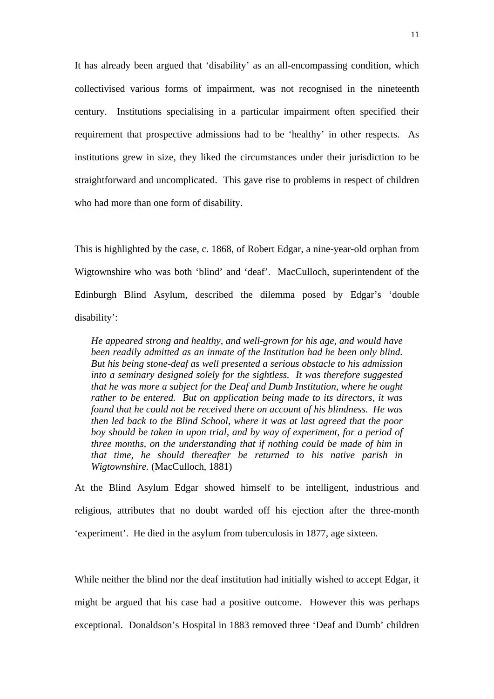It has already been argued that 'disability' as an all-encompassing condition, which collectivised various forms of impairment, was not recognised in the nineteenth century. Institutions specialising in a particular impairment often specified their requirement that prospective admissions had to be 'healthy' in other respects. As institutions grew in size, they liked the circumstances under their jurisdiction to be straightforward and uncomplicated. This gave rise to problems in respect of children who had more than one form of disability.

This is highlighted by the case, c. 1868, of Robert Edgar, a nine-year-old orphan from Wigtownshire who was both 'blind' and 'deaf'. MacCulloch, superintendent of the Edinburgh Blind Asylum, described the dilemma posed by Edgar's 'double disability':

*He appeared strong and healthy, and well-grown for his age, and would have been readily admitted as an inmate of the Institution had he been only blind. But his being stone-deaf as well presented a serious obstacle to his admission into a seminary designed solely for the sightless. It was therefore suggested that he was more a subject for the Deaf and Dumb Institution, where he ought rather to be entered. But on application being made to its directors, it was found that he could not be received there on account of his blindness. He was then led back to the Blind School, where it was at last agreed that the poor boy should be taken in upon trial, and by way of experiment, for a period of three months, on the understanding that if nothing could be made of him in that time, he should thereafter be returned to his native parish in Wigtownshire.* (MacCulloch, 1881)

At the Blind Asylum Edgar showed himself to be intelligent, industrious and religious, attributes that no doubt warded off his ejection after the three-month 'experiment'. He died in the asylum from tuberculosis in 1877, age sixteen.

While neither the blind nor the deaf institution had initially wished to accept Edgar, it might be argued that his case had a positive outcome. However this was perhaps exceptional. Donaldson's Hospital in 1883 removed three 'Deaf and Dumb' children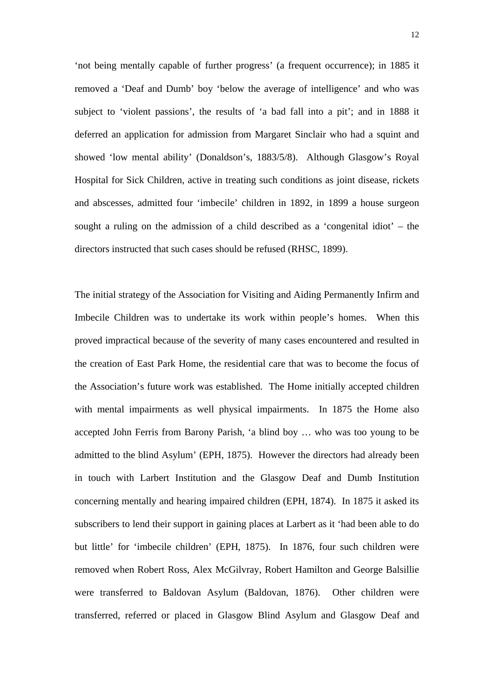'not being mentally capable of further progress' (a frequent occurrence); in 1885 it removed a 'Deaf and Dumb' boy 'below the average of intelligence' and who was subject to 'violent passions', the results of 'a bad fall into a pit'; and in 1888 it deferred an application for admission from Margaret Sinclair who had a squint and showed 'low mental ability' (Donaldson's, 1883/5/8). Although Glasgow's Royal Hospital for Sick Children, active in treating such conditions as joint disease, rickets and abscesses, admitted four 'imbecile' children in 1892, in 1899 a house surgeon sought a ruling on the admission of a child described as a 'congenital idiot' – the directors instructed that such cases should be refused (RHSC, 1899).

The initial strategy of the Association for Visiting and Aiding Permanently Infirm and Imbecile Children was to undertake its work within people's homes. When this proved impractical because of the severity of many cases encountered and resulted in the creation of East Park Home, the residential care that was to become the focus of the Association's future work was established. The Home initially accepted children with mental impairments as well physical impairments. In 1875 the Home also accepted John Ferris from Barony Parish, 'a blind boy … who was too young to be admitted to the blind Asylum' (EPH, 1875). However the directors had already been in touch with Larbert Institution and the Glasgow Deaf and Dumb Institution concerning mentally and hearing impaired children (EPH, 1874). In 1875 it asked its subscribers to lend their support in gaining places at Larbert as it 'had been able to do but little' for 'imbecile children' (EPH, 1875). In 1876, four such children were removed when Robert Ross, Alex McGilvray, Robert Hamilton and George Balsillie were transferred to Baldovan Asylum (Baldovan, 1876). Other children were transferred, referred or placed in Glasgow Blind Asylum and Glasgow Deaf and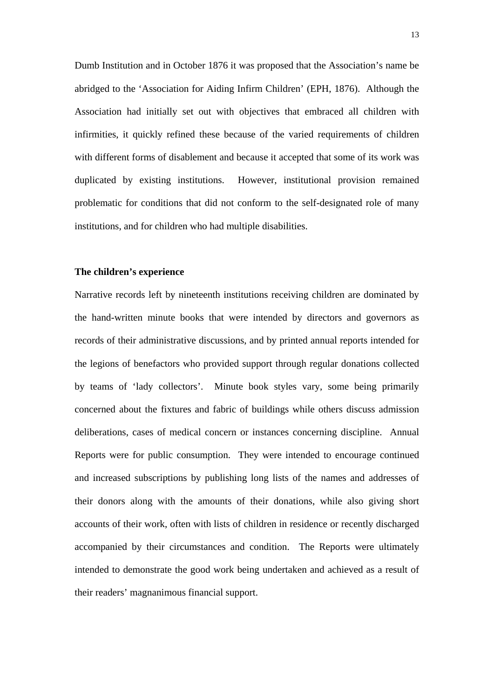Dumb Institution and in October 1876 it was proposed that the Association's name be abridged to the 'Association for Aiding Infirm Children' (EPH, 1876). Although the Association had initially set out with objectives that embraced all children with infirmities, it quickly refined these because of the varied requirements of children with different forms of disablement and because it accepted that some of its work was duplicated by existing institutions. However, institutional provision remained problematic for conditions that did not conform to the self-designated role of many institutions, and for children who had multiple disabilities.

## **The children's experience**

Narrative records left by nineteenth institutions receiving children are dominated by the hand-written minute books that were intended by directors and governors as records of their administrative discussions, and by printed annual reports intended for the legions of benefactors who provided support through regular donations collected by teams of 'lady collectors'. Minute book styles vary, some being primarily concerned about the fixtures and fabric of buildings while others discuss admission deliberations, cases of medical concern or instances concerning discipline. Annual Reports were for public consumption. They were intended to encourage continued and increased subscriptions by publishing long lists of the names and addresses of their donors along with the amounts of their donations, while also giving short accounts of their work, often with lists of children in residence or recently discharged accompanied by their circumstances and condition. The Reports were ultimately intended to demonstrate the good work being undertaken and achieved as a result of their readers' magnanimous financial support.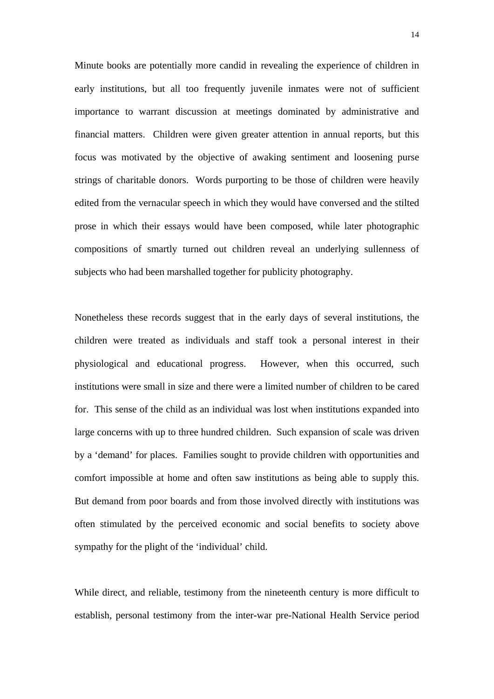Minute books are potentially more candid in revealing the experience of children in early institutions, but all too frequently juvenile inmates were not of sufficient importance to warrant discussion at meetings dominated by administrative and financial matters. Children were given greater attention in annual reports, but this focus was motivated by the objective of awaking sentiment and loosening purse strings of charitable donors. Words purporting to be those of children were heavily edited from the vernacular speech in which they would have conversed and the stilted prose in which their essays would have been composed, while later photographic compositions of smartly turned out children reveal an underlying sullenness of subjects who had been marshalled together for publicity photography.

Nonetheless these records suggest that in the early days of several institutions, the children were treated as individuals and staff took a personal interest in their physiological and educational progress. However, when this occurred, such institutions were small in size and there were a limited number of children to be cared for. This sense of the child as an individual was lost when institutions expanded into large concerns with up to three hundred children. Such expansion of scale was driven by a 'demand' for places. Families sought to provide children with opportunities and comfort impossible at home and often saw institutions as being able to supply this. But demand from poor boards and from those involved directly with institutions was often stimulated by the perceived economic and social benefits to society above sympathy for the plight of the 'individual' child.

While direct, and reliable, testimony from the nineteenth century is more difficult to establish, personal testimony from the inter-war pre-National Health Service period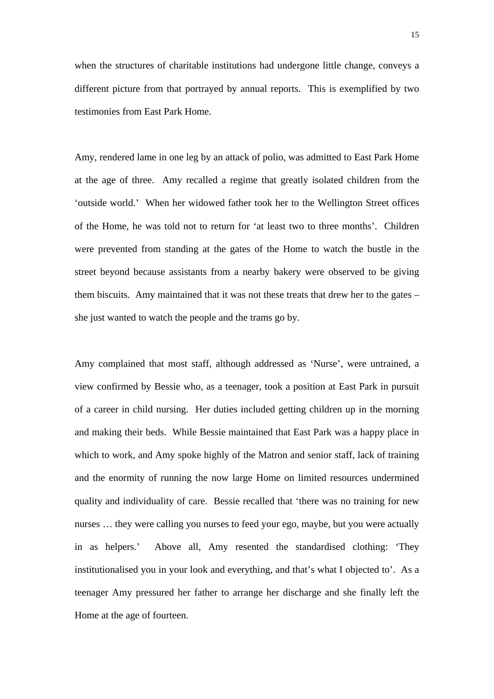when the structures of charitable institutions had undergone little change, conveys a different picture from that portrayed by annual reports. This is exemplified by two testimonies from East Park Home.

Amy, rendered lame in one leg by an attack of polio, was admitted to East Park Home at the age of three. Amy recalled a regime that greatly isolated children from the 'outside world.' When her widowed father took her to the Wellington Street offices of the Home, he was told not to return for 'at least two to three months'. Children were prevented from standing at the gates of the Home to watch the bustle in the street beyond because assistants from a nearby bakery were observed to be giving them biscuits. Amy maintained that it was not these treats that drew her to the gates – she just wanted to watch the people and the trams go by.

Amy complained that most staff, although addressed as 'Nurse', were untrained, a view confirmed by Bessie who, as a teenager, took a position at East Park in pursuit of a career in child nursing. Her duties included getting children up in the morning and making their beds. While Bessie maintained that East Park was a happy place in which to work, and Amy spoke highly of the Matron and senior staff, lack of training and the enormity of running the now large Home on limited resources undermined quality and individuality of care. Bessie recalled that 'there was no training for new nurses … they were calling you nurses to feed your ego, maybe, but you were actually in as helpers.' Above all, Amy resented the standardised clothing: 'They institutionalised you in your look and everything, and that's what I objected to'. As a teenager Amy pressured her father to arrange her discharge and she finally left the Home at the age of fourteen.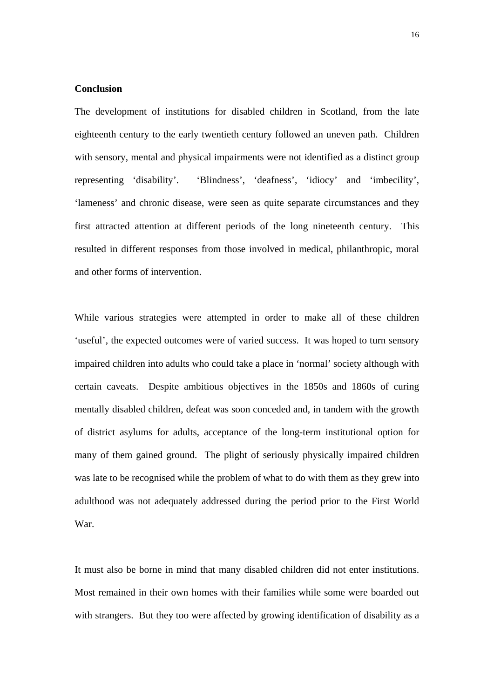# **Conclusion**

The development of institutions for disabled children in Scotland, from the late eighteenth century to the early twentieth century followed an uneven path. Children with sensory, mental and physical impairments were not identified as a distinct group representing 'disability'. 'Blindness', 'deafness', 'idiocy' and 'imbecility', 'lameness' and chronic disease, were seen as quite separate circumstances and they first attracted attention at different periods of the long nineteenth century. This resulted in different responses from those involved in medical, philanthropic, moral and other forms of intervention.

While various strategies were attempted in order to make all of these children 'useful', the expected outcomes were of varied success. It was hoped to turn sensory impaired children into adults who could take a place in 'normal' society although with certain caveats. Despite ambitious objectives in the 1850s and 1860s of curing mentally disabled children, defeat was soon conceded and, in tandem with the growth of district asylums for adults, acceptance of the long-term institutional option for many of them gained ground. The plight of seriously physically impaired children was late to be recognised while the problem of what to do with them as they grew into adulthood was not adequately addressed during the period prior to the First World War.

It must also be borne in mind that many disabled children did not enter institutions. Most remained in their own homes with their families while some were boarded out with strangers. But they too were affected by growing identification of disability as a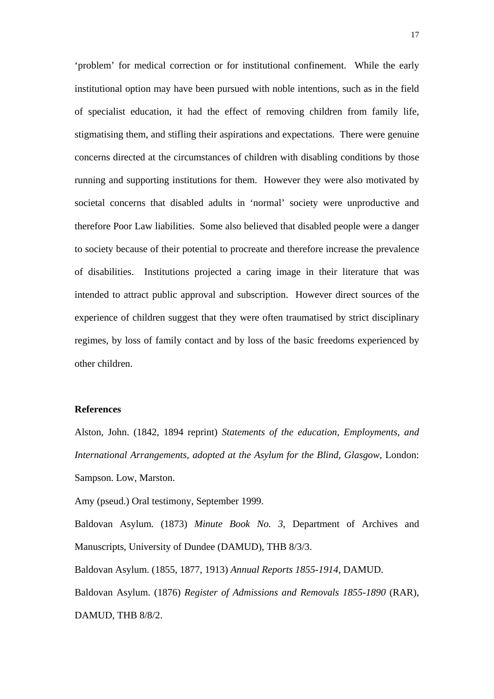'problem' for medical correction or for institutional confinement. While the early institutional option may have been pursued with noble intentions, such as in the field of specialist education, it had the effect of removing children from family life, stigmatising them, and stifling their aspirations and expectations. There were genuine concerns directed at the circumstances of children with disabling conditions by those running and supporting institutions for them. However they were also motivated by societal concerns that disabled adults in 'normal' society were unproductive and therefore Poor Law liabilities. Some also believed that disabled people were a danger to society because of their potential to procreate and therefore increase the prevalence of disabilities. Institutions projected a caring image in their literature that was intended to attract public approval and subscription. However direct sources of the experience of children suggest that they were often traumatised by strict disciplinary regimes, by loss of family contact and by loss of the basic freedoms experienced by other children.

## **References**

Alston, John. (1842, 1894 reprint) *Statements of the education, Employments, and International Arrangements, adopted at the Asylum for the Blind, Glasgow*, London: Sampson. Low, Marston.

Amy (pseud.) Oral testimony, September 1999.

Baldovan Asylum. (1873) *Minute Book No. 3*, Department of Archives and Manuscripts, University of Dundee (DAMUD), THB 8/3/3.

Baldovan Asylum. (1855, 1877, 1913) *Annual Reports 1855-1914*, DAMUD. Baldovan Asylum. (1876) *Register of Admissions and Removals 1855-1890* (RAR), DAMUD, THB 8/8/2.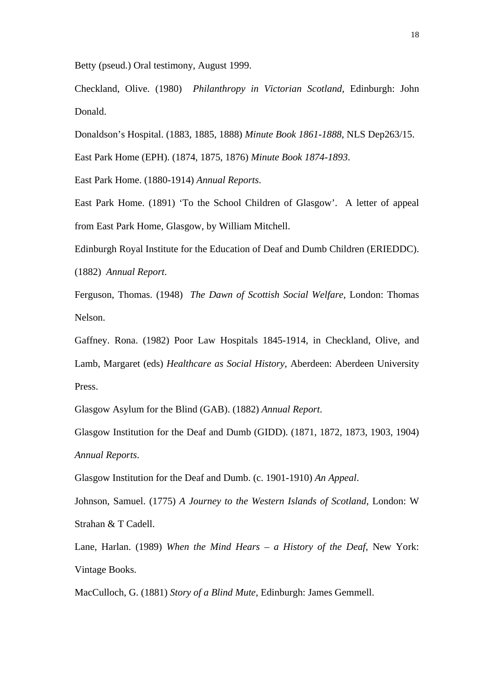Betty (pseud.) Oral testimony, August 1999.

Checkland, Olive. (1980) *Philanthropy in Victorian Scotland*, Edinburgh: John Donald.

Donaldson's Hospital. (1883, 1885, 1888) *Minute Book 1861-1888*, NLS Dep263/15.

East Park Home (EPH). (1874, 1875, 1876) *Minute Book 1874-1893*.

East Park Home. (1880-1914) *Annual Reports*.

East Park Home. (1891) 'To the School Children of Glasgow'. A letter of appeal from East Park Home, Glasgow, by William Mitchell.

Edinburgh Royal Institute for the Education of Deaf and Dumb Children (ERIEDDC).

(1882) *Annual Report*.

Ferguson, Thomas. (1948) *The Dawn of Scottish Social Welfare*, London: Thomas Nelson.

Gaffney. Rona. (1982) Poor Law Hospitals 1845-1914, in Checkland, Olive, and Lamb, Margaret (eds) *Healthcare as Social History*, Aberdeen: Aberdeen University Press.

Glasgow Asylum for the Blind (GAB). (1882) *Annual Report*.

Glasgow Institution for the Deaf and Dumb (GIDD). (1871, 1872, 1873, 1903, 1904) *Annual Reports*.

Glasgow Institution for the Deaf and Dumb. (c. 1901-1910) *An Appeal*.

Johnson, Samuel. (1775) *A Journey to the Western Islands of Scotland*, London: W Strahan & T Cadell.

Lane, Harlan. (1989) *When the Mind Hears – a History of the Deaf*, New York: Vintage Books.

MacCulloch, G. (1881) *Story of a Blind Mute*, Edinburgh: James Gemmell.